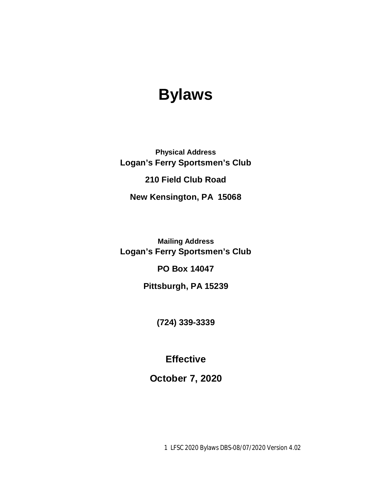# **Bylaws**

**Physical Address Logan's Ferry Sportsmen's Club 210 Field Club Road New Kensington, PA 15068**

**Mailing Address Logan's Ferry Sportsmen's Club**

**PO Box 14047**

**Pittsburgh, PA 15239**

**(724) 339-3339**

**Effective**

**October 7, 2020**

1 LFSC 2020 Bylaws DBS-08/07/2020 Version 4.02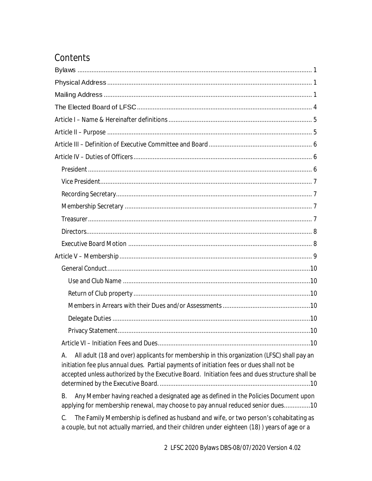## Contents

| All adult (18 and over) applicants for membership in this organization (LFSC) shall pay an<br>А.<br>initiation fee plus annual dues. Partial payments of initiation fees or dues shall not be<br>accepted unless authorized by the Executive Board. Initiation fees and dues structure shall be |
|-------------------------------------------------------------------------------------------------------------------------------------------------------------------------------------------------------------------------------------------------------------------------------------------------|
| Any Member having reached a designated age as defined in the Policies Document upon<br>В.<br>applying for membership renewal, may choose to pay annual reduced senior dues10                                                                                                                    |
| The Family Membership is defined as husband and wife, or two person's cohabitating as<br>C.<br>a couple, but not actually married, and their children under eighteen (18)) years of age or a                                                                                                    |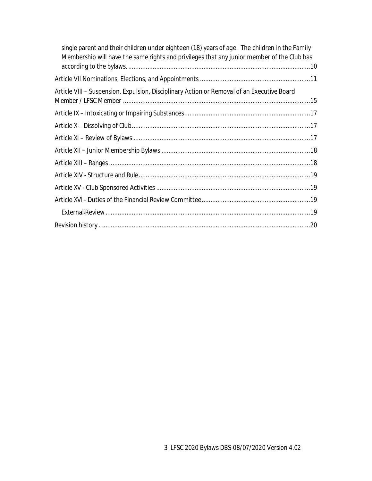| single parent and their children under eighteen (18) years of age. The children in the Family<br>Membership will have the same rights and privileges that any junior member of the Club has |
|---------------------------------------------------------------------------------------------------------------------------------------------------------------------------------------------|
|                                                                                                                                                                                             |
| Article VIII - Suspension, Expulsion, Disciplinary Action or Removal of an Executive Board                                                                                                  |
|                                                                                                                                                                                             |
|                                                                                                                                                                                             |
|                                                                                                                                                                                             |
|                                                                                                                                                                                             |
|                                                                                                                                                                                             |
|                                                                                                                                                                                             |
|                                                                                                                                                                                             |
|                                                                                                                                                                                             |
|                                                                                                                                                                                             |
|                                                                                                                                                                                             |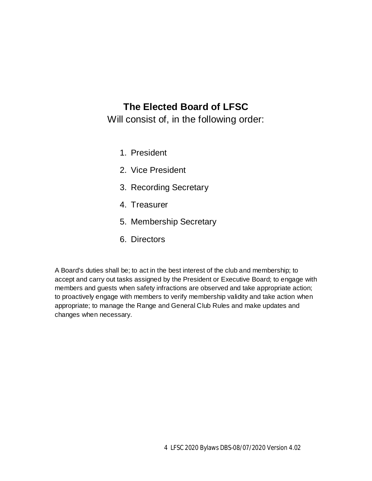### **The Elected Board of LFSC**

Will consist of, in the following order:

- 1. President
- 2. Vice President
- 3. Recording Secretary
- 4. Treasurer
- 5. Membership Secretary
- 6. Directors

A Board's duties shall be; to act in the best interest of the club and membership; to accept and carry out tasks assigned by the President or Executive Board; to engage with members and guests when safety infractions are observed and take appropriate action; to proactively engage with members to verify membership validity and take action when appropriate; to manage the Range and General Club Rules and make updates and changes when necessary.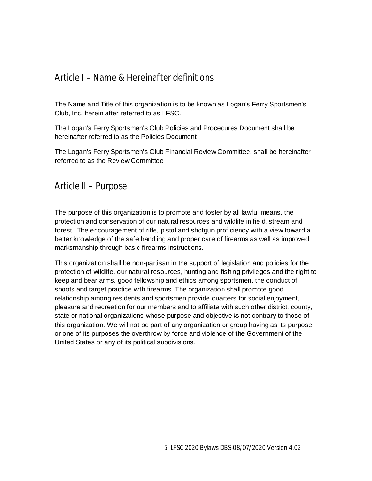### Article I – Name & Hereinafter definitions

The Name and Title of this organization is to be known as Logan's Ferry Sportsmen's Club, Inc. herein after referred to as LFSC.

The Logan's Ferry Sportsmen's Club Policies and Procedures Document shall be hereinafter referred to as the Policies Document

The Logan's Ferry Sportsmen's Club Financial Review Committee, shall be hereinafter referred to as the Review Committee

Article II – Purpose

The purpose of this organization is to promote and foster by all lawful means, the protection and conservation of our natural resources and wildlife in field, stream and forest. The encouragement of rifle, pistol and shotgun proficiency with a view toward a better knowledge of the safe handling and proper care of firearms as well as improved marksmanship through basic firearms instructions.

This organization shall be non-partisan in the support of legislation and policies for the protection of wildlife, our natural resources, hunting and fishing privileges and the right to keep and bear arms, good fellowship and ethics among sportsmen, the conduct of shoots and target practice with firearms. The organization shall promote good relationship among residents and sportsmen provide quarters for social enjoyment, pleasure and recreation for our members and to affiliate with such other district, county, state or national organizations whose purpose and objective is not contrary to those of this organization. We will not be part of any organization or group having as its purpose or one of its purposes the overthrow by force and violence of the Government of the United States or any of its political subdivisions.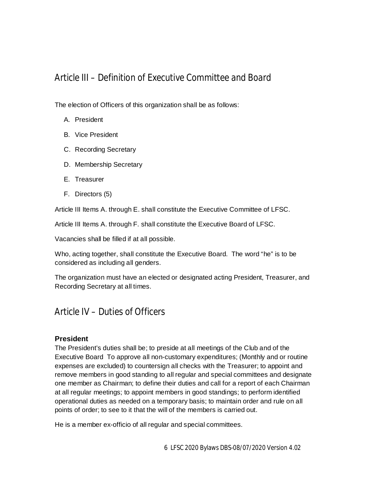### Article III – Definition of Executive Committee and Board

The election of Officers of this organization shall be as follows:

- A. President
- B. Vice President
- C. Recording Secretary
- D. Membership Secretary
- E. Treasurer
- F. Directors (5)

Article III Items A. through E. shall constitute the Executive Committee of LFSC.

Article III Items A. through F. shall constitute the Executive Board of LFSC.

Vacancies shall be filled if at all possible.

Who, acting together, shall constitute the Executive Board. The word "he" is to be considered as including all genders.

The organization must have an elected or designated acting President, Treasurer, and Recording Secretary at all times.

### Article IV – Duties of Officers

#### **President**

The President's duties shall be; to preside at all meetings of the Club and of the Executive Board To approve all non-customary expenditures; (Monthly and or routine expenses are excluded) to countersign all checks with the Treasurer; to appoint and remove members in good standing to all regular and special committees and designate one member as Chairman; to define their duties and call for a report of each Chairman at all regular meetings; to appoint members in good standings; to perform identified operational duties as needed on a temporary basis; to maintain order and rule on all points of order; to see to it that the will of the members is carried out.

He is a member ex-officio of all regular and special committees.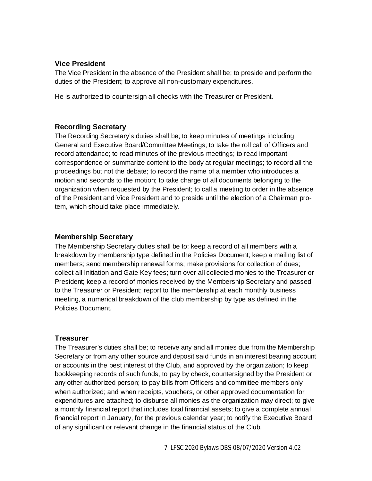#### **Vice President**

The Vice President in the absence of the President shall be; to preside and perform the duties of the President; to approve all non-customary expenditures.

He is authorized to countersign all checks with the Treasurer or President.

#### **Recording Secretary**

The Recording Secretary's duties shall be; to keep minutes of meetings including General and Executive Board/Committee Meetings; to take the roll call of Officers and record attendance; to read minutes of the previous meetings; to read important correspondence or summarize content to the body at regular meetings; to record all the proceedings but not the debate; to record the name of a member who introduces a motion and seconds to the motion; to take charge of all documents belonging to the organization when requested by the President; to call a meeting to order in the absence of the President and Vice President and to preside until the election of a Chairman protem, which should take place immediately.

#### **Membership Secretary**

The Membership Secretary duties shall be to: keep a record of all members with a breakdown by membership type defined in the Policies Document; keep a mailing list of members; send membership renewal forms; make provisions for collection of dues; collect all Initiation and Gate Key fees; turn over all collected monies to the Treasurer or President; keep a record of monies received by the Membership Secretary and passed to the Treasurer or President; report to the membership at each monthly business meeting, a numerical breakdown of the club membership by type as defined in the Policies Document.

#### **Treasurer**

The Treasurer's duties shall be; to receive any and all monies due from the Membership Secretary or from any other source and deposit said funds in an interest bearing account or accounts in the best interest of the Club, and approved by the organization; to keep bookkeeping records of such funds, to pay by check, countersigned by the President or any other authorized person; to pay bills from Officers and committee members only when authorized; and when receipts, vouchers, or other approved documentation for expenditures are attached; to disburse all monies as the organization may direct; to give a monthly financial report that includes total financial assets; to give a complete annual financial report in January, for the previous calendar year; to notify the Executive Board of any significant or relevant change in the financial status of the Club.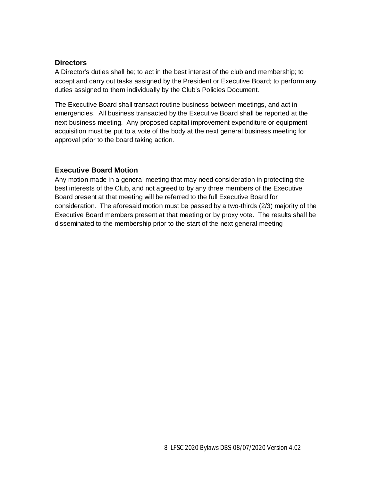#### **Directors**

A Director's duties shall be; to act in the best interest of the club and membership; to accept and carry out tasks assigned by the President or Executive Board; to perform any duties assigned to them individually by the Club's Policies Document.

The Executive Board shall transact routine business between meetings, and act in emergencies. All business transacted by the Executive Board shall be reported at the next business meeting. Any proposed capital improvement expenditure or equipment acquisition must be put to a vote of the body at the next general business meeting for approval prior to the board taking action.

#### **Executive Board Motion**

Any motion made in a general meeting that may need consideration in protecting the best interests of the Club, and not agreed to by any three members of the Executive Board present at that meeting will be referred to the full Executive Board for consideration. The aforesaid motion must be passed by a two-thirds (2/3) majority of the Executive Board members present at that meeting or by proxy vote. The results shall be disseminated to the membership prior to the start of the next general meeting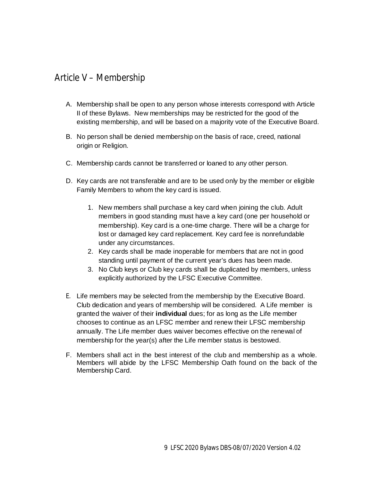### Article V – Membership

- A. Membership shall be open to any person whose interests correspond with Article II of these Bylaws. New memberships may be restricted for the good of the existing membership, and will be based on a majority vote of the Executive Board.
- B. No person shall be denied membership on the basis of race, creed, national origin or Religion.
- C. Membership cards cannot be transferred or loaned to any other person.
- D. Key cards are not transferable and are to be used only by the member or eligible Family Members to whom the key card is issued.
	- 1. New members shall purchase a key card when joining the club. Adult members in good standing must have a key card (one per household or membership). Key card is a one-time charge. There will be a charge for lost or damaged key card replacement. Key card fee is nonrefundable under any circumstances.
	- 2. Key cards shall be made inoperable for members that are not in good standing until payment of the current year's dues has been made.
	- 3. No Club keys or Club key cards shall be duplicated by members, unless explicitly authorized by the LFSC Executive Committee.
- E. Life members may be selected from the membership by the Executive Board. Club dedication and years of membership will be considered. A Life member is granted the waiver of their individual dues; for as long as the Life member chooses to continue as an LFSC member and renew their LFSC membership annually. The Life member dues waiver becomes effective on the renewal of membership for the year(s) after the Life member status is bestowed.
- F. Members shall act in the best interest of the club and membership as a whole. Members will abide by the LFSC Membership Oath found on the back of the Membership Card.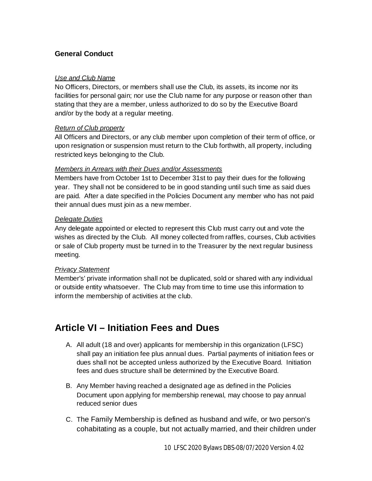#### **General Conduct**

#### *Use and Club Name*

No Officers, Directors, or members shall use the Club, its assets, its income nor its facilities for personal gain; nor use the Club name for any purpose or reason other than stating that they are a member, unless authorized to do so by the Executive Board and/or by the body at a regular meeting.

#### *Return of Club property*

All Officers and Directors, or any club member upon completion of their term of office, or upon resignation or suspension must return to the Club forthwith, all property, including restricted keys belonging to the Club.

#### *Members in Arrears with their Dues and/or Assessments*

Members have from October 1st to December 31st to pay their dues for the following year. They shall not be considered to be in good standing until such time as said dues are paid. After a date specified in the Policies Document any member who has not paid their annual dues must join as a new member.

#### *Delegate Duties*

Any delegate appointed or elected to represent this Club must carry out and vote the wishes as directed by the Club. All money collected from raffles, courses, Club activities or sale of Club property must be turned in to the Treasurer by the next regular business meeting.

#### *Privacy Statement*

Member's' private information shall not be duplicated, sold or shared with any individual or outside entity whatsoever. The Club may from time to time use this information to inform the membership of activities at the club.

### **Article VI – Initiation Fees and Dues**

- A. All adult (18 and over) applicants for membership in this organization (LFSC) shall pay an initiation fee plus annual dues. Partial payments of initiation fees or dues shall not be accepted unless authorized by the Executive Board. Initiation fees and dues structure shall be determined by the Executive Board.
- B. Any Member having reached a designated age as defined in the Policies Document upon applying for membership renewal, may choose to pay annual reduced senior dues
- C. The Family Membership is defined as husband and wife, or two person's cohabitating as a couple, but not actually married, and their children under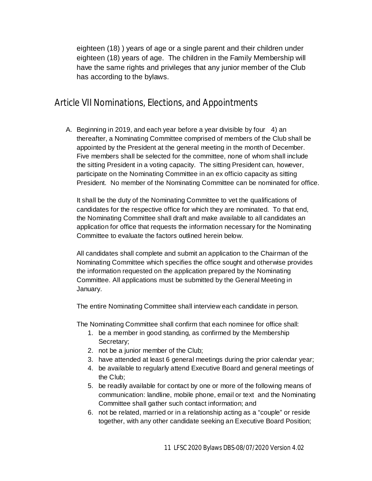eighteen (18) ) years of age or a single parent and their children under eighteen (18) years of age. The children in the Family Membership will have the same rights and privileges that any junior member of the Club has according to the bylaws.

### Article VII Nominations, Elections, and Appointments

A. Beginning in 2019, and each year before a year divisible by four 4) an thereafter, a Nominating Committee comprised of members of the Club shall be appointed by the President at the general meeting in the month of December. Five members shall be selected for the committee, none of whom shall include the sitting President in a voting capacity. The sitting President can, however, participate on the Nominating Committee in an ex officio capacity as sitting President. No member of the Nominating Committee can be nominated for office.

It shall be the duty of the Nominating Committee to vet the qualifications of candidates for the respective office for which they are nominated. To that end, the Nominating Committee shall draft and make available to all candidates an application for office that requests the information necessary for the Nominating Committee to evaluate the factors outlined herein below.

All candidates shall complete and submit an application to the Chairman of the Nominating Committee which specifies the office sought and otherwise provides the information requested on the application prepared by the Nominating Committee. All applications must be submitted by the General Meeting in January.

The entire Nominating Committee shall interview each candidate in person.

The Nominating Committee shall confirm that each nominee for office shall:

- 1. be a member in good standing, as confirmed by the Membership Secretary;
- 2. not be a junior member of the Club;
- 3. have attended at least 6 general meetings during the prior calendar year;
- 4. be available to regularly attend Executive Board and general meetings of the Club;
- 5. be readily available for contact by one or more of the following means of communication: landline, mobile phone, email or text and the Nominating Committee shall gather such contact information; and
- 6. not be related, married or in a relationship acting as a "couple" or reside together, with any other candidate seeking an Executive Board Position;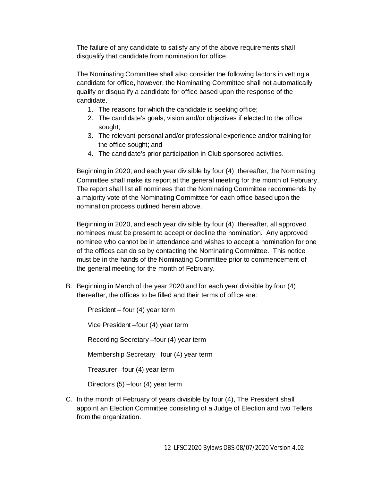The failure of any candidate to satisfy any of the above requirements shall disqualify that candidate from nomination for office.

The Nominating Committee shall also consider the following factors in vetting a candidate for office, however, the Nominating Committee shall not automatically qualify or disqualify a candidate for office based upon the response of the candidate.

- 1. The reasons for which the candidate is seeking office;
- 2. The candidate's goals, vision and/or objectives if elected to the office sought;
- 3. The relevant personal and/or professional experience and/or training for the office sought; and
- 4. The candidate's prior participation in Club sponsored activities.

Beginning in 2020; and each year divisible by four (4) thereafter, the Nominating Committee shall make its report at the general meeting for the month of February. The report shall list all nominees that the Nominating Committee recommends by a majority vote of the Nominating Committee for each office based upon the nomination process outlined herein above.

Beginning in 2020, and each year divisible by four (4) thereafter, all approved nominees must be present to accept or decline the nomination. Any approved nominee who cannot be in attendance and wishes to accept a nomination for one of the offices can do so by contacting the Nominating Committee. This notice must be in the hands of the Nominating Committee prior to commencement of the general meeting for the month of February.

B. Beginning in March of the year 2020 and for each year divisible by four (4) thereafter, the offices to be filled and their terms of office are:

President – four (4) year term

Vice President –four (4) year term

Recording Secretary –four (4) year term

Membership Secretary –four (4) year term

Treasurer –four (4) year term

Directors (5) –four (4) year term

C. In the month of February of years divisible by four (4), The President shall appoint an Election Committee consisting of a Judge of Election and two Tellers from the organization.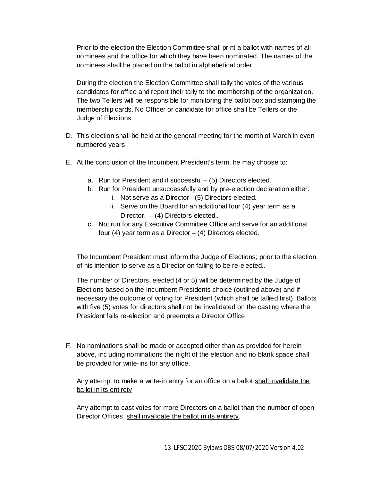Prior to the election the Election Committee shall print a ballot with names of all nominees and the office for which they have been nominated. The names of the nominees shall be placed on the ballot in alphabetical order.

During the election the Election Committee shall tally the votes of the various candidates for office and report their tally to the membership of the organization. The two Tellers will be responsible for monitoring the ballot box and stamping the membership cards. No Officer or candidate for office shall be Tellers or the Judge of Elections.

- D. This election shall be held at the general meeting for the month of March in even numbered years
- E. At the conclusion of the Incumbent President's term, he may choose to:
	- a. Run for President and if successful (5) Directors elected.
	- b. Run for President unsuccessfully and by pre-election declaration either:
		- i. Not serve as a Director (5) Directors elected.
			- ii. Serve on the Board for an additional four (4) year term as a Director.  $-$  (4) Directors elected..
	- c. Not run for any Executive Committee Office and serve for an additional four (4) year term as a Director  $-$  (4) Directors elected.

The Incumbent President must inform the Judge of Elections; prior to the election of his intention to serve as a Director on failing to be re-elected..

The number of Directors, elected (4 or 5) will be determined by the Judge of Elections based on the Incumbent Presidents choice (outlined above) and if necessary the outcome of voting for President (which shall be tallied first). Ballots with five (5) votes for directors shall not be invalidated on the casting where the President fails re-election and preempts a Director Office

F. No nominations shall be made or accepted other than as provided for herein above, including nominations the night of the election and no blank space shall be provided for write-ins for any office.

Any attempt to make a write-in entry for an office on a ballot shall invalidate the ballot in its entirety

Any attempt to cast votes for more Directors on a ballot than the number of open Director Offices, shall invalidate the ballot in its entirety.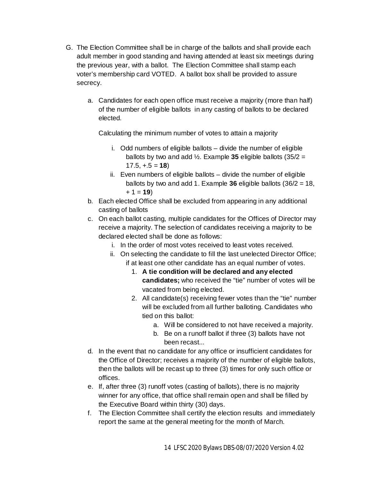- G. The Election Committee shall be in charge of the ballots and shall provide each adult member in good standing and having attended at least six meetings during the previous year, with a ballot. The Election Committee shall stamp each voter's membership card VOTED. A ballot box shall be provided to assure secrecy.
	- a. Candidates for each open office must receive a majority (more than half) of the number of eligible ballots in any casting of ballots to be declared elected.

Calculating the minimum number of votes to attain a majority

- i. Odd numbers of eligible ballots divide the number of eligible ballots by two and add  $\frac{1}{2}$ . Example **35** eligible ballots (35/2 =  $17.5, +.5 = 18$
- ii. Even numbers of eligible ballots divide the number of eligible ballots by two and add 1. Example  $36$  eligible ballots  $(36/2 = 18,$  $+ 1 = 19$
- b. Each elected Office shall be excluded from appearing in any additional casting of ballots
- c. On each ballot casting, multiple candidates for the Offices of Director may receive a majority. The selection of candidates receiving a majority to be declared elected shall be done as follows:
	- i. In the order of most votes received to least votes received.
	- ii. On selecting the candidate to fill the last unelected Director Office; if at least one other candidate has an equal number of votes.
		- 1. **A tie condition will be declared and any elected** candidates; who received the "tie" number of votes will be vacated from being elected.
		- 2. All candidate(s) receiving fewer votes than the "tie" number will be excluded from all further balloting. Candidates who tied on this ballot:
			- a. Will be considered to not have received a majority.
			- b. Be on a runoff ballot if three (3) ballots have not been recast...
- d. In the event that no candidate for any office or insufficient candidates for the Office of Director; receives a majority of the number of eligible ballots, then the ballots will be recast up to three (3) times for only such office or offices.
- e. If, after three (3) runoff votes (casting of ballots), there is no majority winner for any office, that office shall remain open and shall be filled by the Executive Board within thirty (30) days.
- f. The Election Committee shall certify the election results and immediately report the same at the general meeting for the month of March.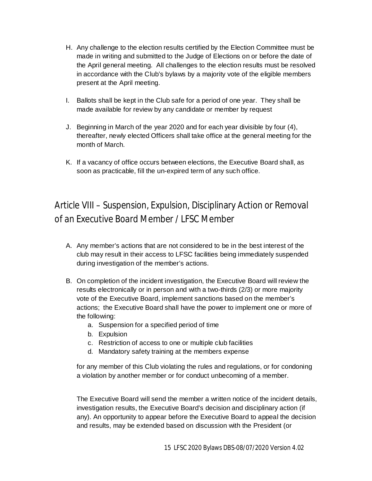- H. Any challenge to the election results certified by the Election Committee must be made in writing and submitted to the Judge of Elections on or before the date of the April general meeting. All challenges to the election results must be resolved in accordance with the Club's bylaws by a majority vote of the eligible members present at the April meeting.
- I. Ballots shall be kept in the Club safe for a period of one year. They shall be made available for review by any candidate or member by request
- J. Beginning in March of the year 2020 and for each year divisible by four (4), thereafter, newly elected Officers shall take office at the general meeting for the month of March.
- K. If a vacancy of office occurs between elections, the Executive Board shall, as soon as practicable, fill the un-expired term of any such office.

## Article VIII – Suspension, Expulsion, Disciplinary Action or Removal of an Executive Board Member / LFSC Member

- A. Any member's actions that are not considered to be in the best interest of the club may result in their access to LFSC facilities being immediately suspended during investigation of the member's actions.
- B. On completion of the incident investigation, the Executive Board will review the results electronically or in person and with a two-thirds (2/3) or more majority vote of the Executive Board, implement sanctions based on the member's actions; the Executive Board shall have the power to implement one or more of the following:
	- a. Suspension for a specified period of time
	- b. Expulsion
	- c. Restriction of access to one or multiple club facilities
	- d. Mandatory safety training at the members expense

for any member of this Club violating the rules and regulations, or for condoning a violation by another member or for conduct unbecoming of a member.

The Executive Board will send the member a written notice of the incident details, investigation results, the Executive Board's decision and disciplinary action (if any). An opportunity to appear before the Executive Board to appeal the decision and results, may be extended based on discussion with the President (or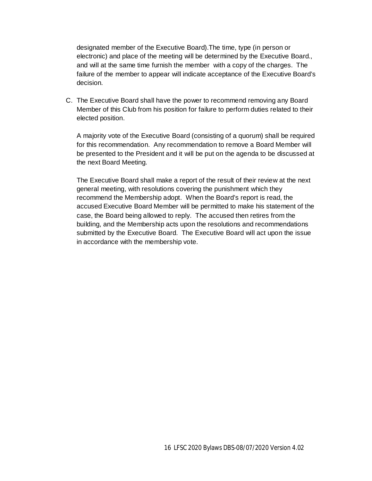designated member of the Executive Board).The time, type (in person or electronic) and place of the meeting will be determined by the Executive Board., and will at the same time furnish the member with a copy of the charges. The failure of the member to appear will indicate acceptance of the Executive Board's decision.

C. The Executive Board shall have the power to recommend removing any Board Member of this Club from his position for failure to perform duties related to their elected position.

A majority vote of the Executive Board (consisting of a quorum) shall be required for this recommendation. Any recommendation to remove a Board Member will be presented to the President and it will be put on the agenda to be discussed at the next Board Meeting.

The Executive Board shall make a report of the result of their review at the next general meeting, with resolutions covering the punishment which they recommend the Membership adopt. When the Board's report is read, the accused Executive Board Member will be permitted to make his statement of the case, the Board being allowed to reply. The accused then retires from the building, and the Membership acts upon the resolutions and recommendations submitted by the Executive Board. The Executive Board will act upon the issue in accordance with the membership vote.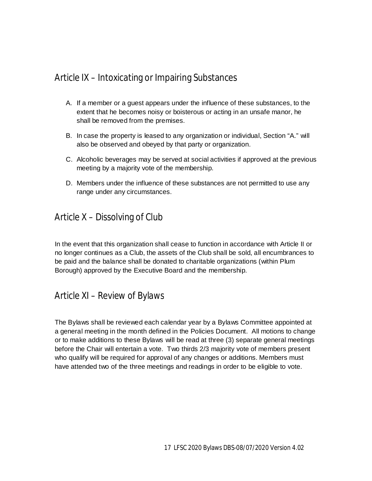### Article IX – Intoxicating or Impairing Substances

- A. If a member or a guest appears under the influence of these substances, to the extent that he becomes noisy or boisterous or acting in an unsafe manor, he shall be removed from the premises.
- B. In case the property is leased to any organization or individual, Section "A." will also be observed and obeyed by that party or organization.
- C. Alcoholic beverages may be served at social activities if approved at the previous meeting by a majority vote of the membership.
- D. Members under the influence of these substances are not permitted to use any range under any circumstances.

### Article X – Dissolving of Club

In the event that this organization shall cease to function in accordance with Article II or no longer continues as a Club, the assets of the Club shall be sold, all encumbrances to be paid and the balance shall be donated to charitable organizations (within Plum Borough) approved by the Executive Board and the membership.

### Article XI – Review of Bylaws

The Bylaws shall be reviewed each calendar year by a Bylaws Committee appointed at a general meeting in the month defined in the Policies Document. All motions to change or to make additions to these Bylaws will be read at three (3) separate general meetings before the Chair will entertain a vote. Two thirds 2/3 majority vote of members present who qualify will be required for approval of any changes or additions. Members must have attended two of the three meetings and readings in order to be eligible to vote.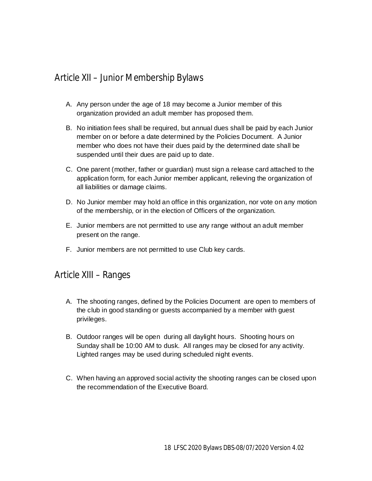### Article XII – Junior Membership Bylaws

- A. Any person under the age of 18 may become a Junior member of this organization provided an adult member has proposed them.
- B. No initiation fees shall be required, but annual dues shall be paid by each Junior member on or before a date determined by the Policies Document. A Junior member who does not have their dues paid by the determined date shall be suspended until their dues are paid up to date.
- C. One parent (mother, father or guardian) must sign a release card attached to the application form, for each Junior member applicant, relieving the organization of all liabilities or damage claims.
- D. No Junior member may hold an office in this organization, nor vote on any motion of the membership, or in the election of Officers of the organization.
- E. Junior members are not permitted to use any range without an adult member present on the range.
- F. Junior members are not permitted to use Club key cards.

#### Article XIII – Ranges

- A. The shooting ranges, defined by the Policies Document are open to members of the club in good standing or guests accompanied by a member with guest privileges.
- B. Outdoor ranges will be open during all daylight hours. Shooting hours on Sunday shall be 10:00 AM to dusk. All ranges may be closed for any activity. Lighted ranges may be used during scheduled night events.
- C. When having an approved social activity the shooting ranges can be closed upon the recommendation of the Executive Board.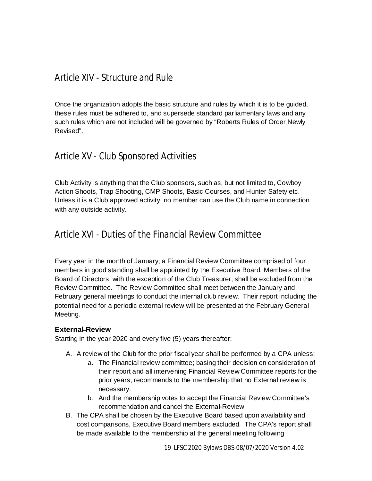### Article XIV - Structure and Rule

Once the organization adopts the basic structure and rules by which it is to be guided, these rules must be adhered to, and supersede standard parliamentary laws and any such rules which are not included will be governed by "Roberts Rules of Order Newly Revised".

### Article XV - Club Sponsored Activities

Club Activity is anything that the Club sponsors, such as, but not limited to, Cowboy Action Shoots, Trap Shooting, CMP Shoots, Basic Courses, and Hunter Safety etc. Unless it is a Club approved activity, no member can use the Club name in connection with any outside activity.

### Article XVI - Duties of the Financial Review Committee

Every year in the month of January; a Financial Review Committee comprised of four members in good standing shall be appointed by the Executive Board. Members of the Board of Directors, with the exception of the Club Treasurer, shall be excluded from the Review Committee. The Review Committee shall meet between the January and February general meetings to conduct the internal club review. Their report including the potential need for a periodic external review will be presented at the February General Meeting.

#### **External-Review**

Starting in the year 2020 and every five (5) years thereafter:

- A. A review of the Club for the prior fiscal year shall be performed by a CPA unless:
	- a. The Financial review committee; basing their decision on consideration of their report and all intervening Financial Review Committee reports for the prior years, recommends to the membership that no External review is necessary.
	- b. And the membership votes to accept the Financial Review Committee's recommendation and cancel the External-Review
- B. The CPA shall be chosen by the Executive Board based upon availability and cost comparisons, Executive Board members excluded. The CPA's report shall be made available to the membership at the general meeting following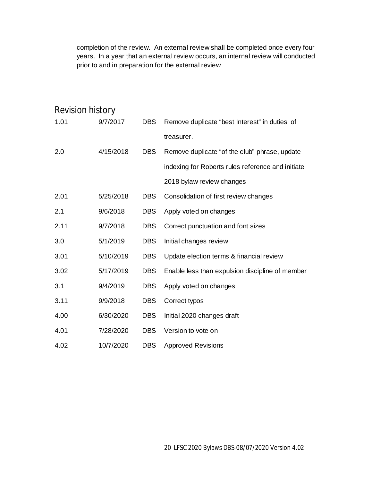completion of the review. An external review shall be completed once every four years. In a year that an external review occurs, an internal review will conducted prior to and in preparation for the external review

| Revision history |           |            |                                                   |
|------------------|-----------|------------|---------------------------------------------------|
| 1.01             | 9/7/2017  | <b>DBS</b> | Remove duplicate "best Interest" in duties of     |
|                  |           |            | treasurer.                                        |
| 2.0              | 4/15/2018 | <b>DBS</b> | Remove duplicate "of the club" phrase, update     |
|                  |           |            | indexing for Roberts rules reference and initiate |
|                  |           |            | 2018 bylaw review changes                         |
| 2.01             | 5/25/2018 | <b>DBS</b> | Consolidation of first review changes             |
| 2.1              | 9/6/2018  | <b>DBS</b> | Apply voted on changes                            |
| 2.11             | 9/7/2018  | <b>DBS</b> | Correct punctuation and font sizes                |
| 3.0              | 5/1/2019  | <b>DBS</b> | Initial changes review                            |
| 3.01             | 5/10/2019 | <b>DBS</b> | Update election terms & financial review          |
| 3.02             | 5/17/2019 | <b>DBS</b> | Enable less than expulsion discipline of member   |
| 3.1              | 9/4/2019  | <b>DBS</b> | Apply voted on changes                            |
| 3.11             | 9/9/2018  | <b>DBS</b> | Correct typos                                     |
| 4.00             | 6/30/2020 | <b>DBS</b> | Initial 2020 changes draft                        |
| 4.01             | 7/28/2020 | <b>DBS</b> | Version to vote on                                |
| 4.02             | 10/7/2020 | <b>DBS</b> | <b>Approved Revisions</b>                         |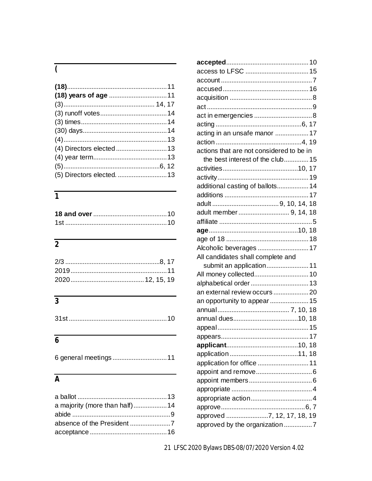## $\overline{\zeta}$

### $\overline{1}$

## $\overline{2}$

## $\overline{3}$

|--|--|--|--|--|--|

### $\overline{6}$

|--|--|--|

## $\overline{A}$

| a majority (more than half) 14 |  |
|--------------------------------|--|
|                                |  |
|                                |  |
|                                |  |
|                                |  |

| acting in an unsafe manor 17             |  |
|------------------------------------------|--|
|                                          |  |
| actions that are not considered to be in |  |
| the best interest of the club 15         |  |
|                                          |  |
|                                          |  |
| additional casting of ballots 14         |  |
|                                          |  |
|                                          |  |
| adult member  9, 14, 18                  |  |
|                                          |  |
|                                          |  |
|                                          |  |
| Alcoholic beverages  17                  |  |
| All candidates shall complete and        |  |
| submit an application 11                 |  |
| All money collected 10                   |  |
| alphabetical order 13                    |  |
| an external review occurs  20            |  |
| an opportunity to appear 15              |  |
|                                          |  |
|                                          |  |
|                                          |  |
|                                          |  |
|                                          |  |
|                                          |  |
| application for office  11               |  |
|                                          |  |
|                                          |  |
|                                          |  |
|                                          |  |
|                                          |  |
| approved 7, 12, 17, 18, 19               |  |
| approved by the organization 7           |  |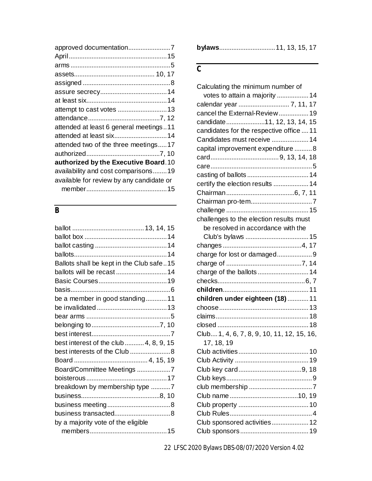| attended at least 6 general meetings11   |
|------------------------------------------|
| attended at least six 14                 |
| attended two of the three meetings17     |
|                                          |
| authorized by the Executive Board. 10    |
| availability and cost comparisons19      |
| available for review by any candidate or |
|                                          |
|                                          |

## *B*

| Ballots shall be kept in the Club safe15 |  |
|------------------------------------------|--|
| ballots will be recast  14               |  |
|                                          |  |
|                                          |  |
| be a member in good standing11           |  |
|                                          |  |
|                                          |  |
|                                          |  |
|                                          |  |
| best interest of the club  4, 8, 9, 15   |  |
| best interests of the Club  8            |  |
|                                          |  |
| Board/Committee Meetings 7               |  |
|                                          |  |
| breakdown by membership type 7           |  |
|                                          |  |
|                                          |  |
|                                          |  |
| by a majority vote of the eligible       |  |
|                                          |  |
|                                          |  |

### *C*

| Calculating the minimum number of          |  |
|--------------------------------------------|--|
| votes to attain a majority  14             |  |
| calendar year  7, 11, 17                   |  |
| cancel the External-Review 19              |  |
| candidate11, 12, 13, 14, 15                |  |
| candidates for the respective office  11   |  |
| Candidates must receive  14                |  |
| capital improvement expenditure  8         |  |
|                                            |  |
|                                            |  |
|                                            |  |
| certify the election results  14           |  |
|                                            |  |
|                                            |  |
|                                            |  |
| challenges to the election results must    |  |
| be resolved in accordance with the         |  |
|                                            |  |
|                                            |  |
| charge for lost or damaged9                |  |
|                                            |  |
| charge of the ballots  14                  |  |
|                                            |  |
|                                            |  |
| children under eighteen (18)  11           |  |
|                                            |  |
|                                            |  |
|                                            |  |
| Club 1, 4, 6, 7, 8, 9, 10, 11, 12, 15, 16, |  |
| 17, 18, 19                                 |  |
|                                            |  |
|                                            |  |
|                                            |  |
|                                            |  |
|                                            |  |
|                                            |  |
|                                            |  |
|                                            |  |
| Club sponsored activities 12               |  |
|                                            |  |

22 LFSC 2020 Bylaws DBS-08/07/2020 Version 4.02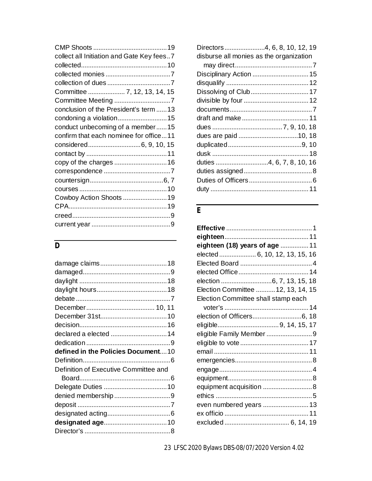| collect all Initiation and Gate Key fees7 |
|-------------------------------------------|
|                                           |
|                                           |
|                                           |
| Committee  7, 12, 13, 14, 15              |
|                                           |
| conclusion of the President's term  13    |
| condoning a violation15                   |
| conduct unbecoming of a member15          |
| confirm that each nominee for office11    |
|                                           |
|                                           |
|                                           |
|                                           |
|                                           |
|                                           |
| Cowboy Action Shoots  19                  |
|                                           |
|                                           |
|                                           |

## *D*

| declared a elected  14                |
|---------------------------------------|
|                                       |
|                                       |
| defined in the Policies Document10    |
|                                       |
| Definition of Executive Committee and |
|                                       |
|                                       |
|                                       |
|                                       |
|                                       |
|                                       |

| Directors4, 6, 8, 10, 12, 19            |  |
|-----------------------------------------|--|
| disburse all monies as the organization |  |
|                                         |  |
| Disciplinary Action  15                 |  |
|                                         |  |
|                                         |  |
|                                         |  |
|                                         |  |
|                                         |  |
|                                         |  |
|                                         |  |
|                                         |  |
|                                         |  |
|                                         |  |
|                                         |  |
|                                         |  |
|                                         |  |
|                                         |  |

### *E*

| eighteen (18) years of age  11      |  |
|-------------------------------------|--|
| elected 6, 10, 12, 13, 15, 16       |  |
|                                     |  |
|                                     |  |
|                                     |  |
| Election Committee  12, 13, 14, 15  |  |
| Election Committee shall stamp each |  |
|                                     |  |
|                                     |  |
|                                     |  |
| eligible Family Member  9           |  |
|                                     |  |
|                                     |  |
|                                     |  |
|                                     |  |
|                                     |  |
| equipment acquisition  8            |  |
|                                     |  |
| even numbered years  13             |  |
|                                     |  |
|                                     |  |
|                                     |  |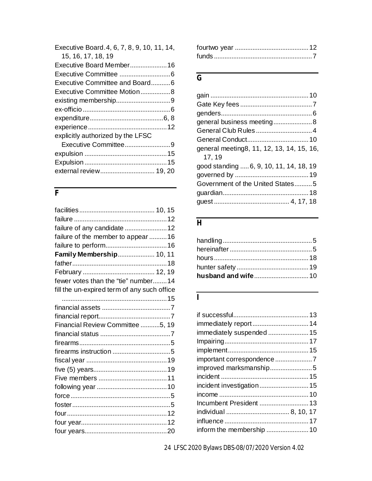| Executive Board.4, 6, 7, 8, 9, 10, 11, 14, |  |
|--------------------------------------------|--|
| 15, 16, 17, 18, 19                         |  |
| Executive Board Member 16                  |  |
|                                            |  |
| Executive Committee and Board6             |  |
| Executive Committee Motion8                |  |
|                                            |  |
|                                            |  |
|                                            |  |
|                                            |  |
| explicitly authorized by the LFSC          |  |
| Executive Committee9                       |  |
|                                            |  |
|                                            |  |
| external review 19, 20                     |  |
|                                            |  |

### *F*

| failure of any candidate  12                |  |
|---------------------------------------------|--|
| failure of the member to appear 16          |  |
|                                             |  |
| Family Membership 10, 11                    |  |
|                                             |  |
|                                             |  |
| fewer votes than the "tie" number 14        |  |
| fill the un-expired term of any such office |  |
|                                             |  |
|                                             |  |
|                                             |  |
| Financial Review Committee 5, 19            |  |
|                                             |  |
|                                             |  |
|                                             |  |
|                                             |  |
|                                             |  |
|                                             |  |
|                                             |  |
|                                             |  |
|                                             |  |
|                                             |  |
|                                             |  |
|                                             |  |

### *G*

| general business meeting 8                           |  |
|------------------------------------------------------|--|
|                                                      |  |
|                                                      |  |
| general meeting 8, 11, 12, 13, 14, 15, 16,<br>17, 19 |  |
| good standing  6, 9, 10, 11, 14, 18, 19              |  |
|                                                      |  |
| Government of the United States5                     |  |
|                                                      |  |
|                                                      |  |

## *H*

| husband and wife10 |  |
|--------------------|--|

### *I*

| immediately suspended  15 |  |
|---------------------------|--|
|                           |  |
|                           |  |
|                           |  |
|                           |  |
|                           |  |
| incident investigation 15 |  |
|                           |  |
|                           |  |
|                           |  |
|                           |  |
|                           |  |
|                           |  |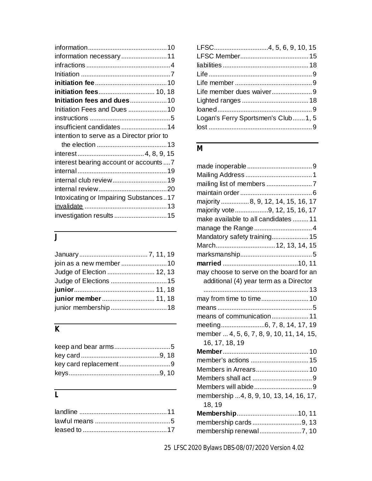| information necessary11                   |  |
|-------------------------------------------|--|
|                                           |  |
|                                           |  |
|                                           |  |
| initiation fees 10, 18                    |  |
| Initiation fees and dues10                |  |
| Initiation Fees and Dues 10               |  |
|                                           |  |
| insufficient candidates  14               |  |
| intention to serve as a Director prior to |  |
|                                           |  |
|                                           |  |
| interest bearing account or accounts  7   |  |
|                                           |  |
| internal club review19                    |  |
|                                           |  |
|                                           |  |
| Intoxicating or Impairing Substances17    |  |
| investigation results 15                  |  |

## *J*

| join as a new member  10  |  |
|---------------------------|--|
| Judge of Election  12, 13 |  |
|                           |  |
|                           |  |
| junior member  11, 18     |  |
|                           |  |

## *K*

### *L*

| Logan's Ferry Sportsmen's Club1, 5 |  |
|------------------------------------|--|
|                                    |  |

#### *M*

| majority 8, 9, 12, 14, 15, 16, 17         |
|-------------------------------------------|
| majority vote 9, 12, 15, 16, 17           |
| make available to all candidates  11      |
| manage the Range 4                        |
| Mandatory safety training 15              |
| March12, 13, 14, 15                       |
|                                           |
|                                           |
| may choose to serve on the board for an   |
| additional (4) year term as a Director    |
|                                           |
| may from time to time 10                  |
|                                           |
| means of communication 11                 |
| meeting6, 7, 8, 14, 17, 19                |
| member  4, 5, 6, 7, 8, 9, 10, 11, 14, 15, |
| 16, 17, 18, 19                            |
|                                           |
| member's actions  15                      |
| Members in Arrears 10                     |
|                                           |
|                                           |
| membership 4, 8, 9, 10, 13, 14, 16, 17,   |
| 18, 19                                    |
|                                           |
| membership cards9, 13                     |
|                                           |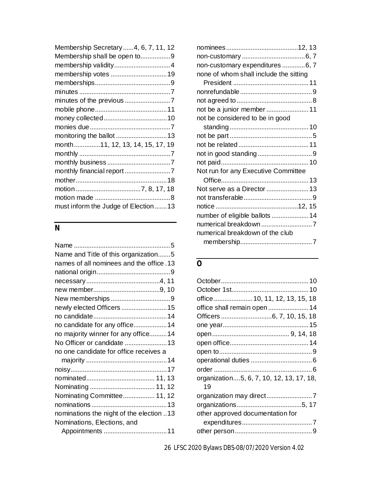| Membership Secretary4, 6, 7, 11, 12 |
|-------------------------------------|
| Membership shall be open to9        |
| membership validity4                |
| membership votes 19                 |
|                                     |
|                                     |
| minutes of the previous 7           |
|                                     |
|                                     |
|                                     |
|                                     |
| month11, 12, 13, 14, 15, 17, 19     |
|                                     |
|                                     |
| monthly financial report 7          |
|                                     |
|                                     |
|                                     |
| must inform the Judge of Election13 |

### *N*

| Name and Title of this organization5     |
|------------------------------------------|
| names of all nominees and the office.13  |
|                                          |
|                                          |
|                                          |
|                                          |
| newly elected Officers  15               |
|                                          |
| no candidate for any office 14           |
| no majority winner for any office14      |
| No Officer or candidate  13              |
| no one candidate for office receives a   |
|                                          |
|                                          |
|                                          |
|                                          |
| Nominating Committee 11, 12              |
|                                          |
| nominations the night of the election 13 |
| Nominations, Elections, and              |
|                                          |
|                                          |

| non-customary expenditures 6, 7        |  |
|----------------------------------------|--|
| none of whom shall include the sitting |  |
|                                        |  |
|                                        |  |
|                                        |  |
| not be a junior member  11             |  |
| not be considered to be in good        |  |
|                                        |  |
|                                        |  |
|                                        |  |
|                                        |  |
|                                        |  |
| Not run for any Executive Committee    |  |
|                                        |  |
| Not serve as a Director  13            |  |
|                                        |  |
|                                        |  |
| number of eligible ballots  14         |  |
|                                        |  |
| numerical breakdown of the club        |  |
|                                        |  |
|                                        |  |

## *O*

| office  10, 11, 12, 13, 15, 18           |
|------------------------------------------|
| office shall remain open 14              |
|                                          |
|                                          |
|                                          |
|                                          |
|                                          |
|                                          |
|                                          |
| organization5, 6, 7, 10, 12, 13, 17, 18, |
| 19                                       |
|                                          |
|                                          |
| other approved documentation for         |
|                                          |
|                                          |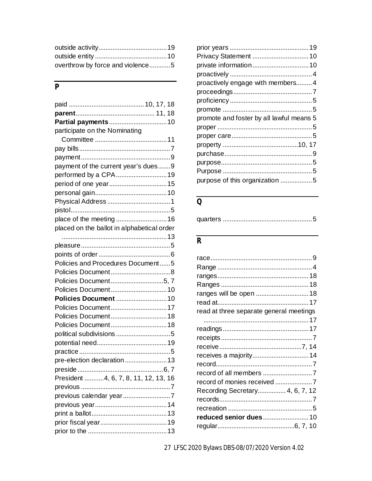| overthrow by force and violence5 |  |
|----------------------------------|--|

### $\overline{P}$

| Partial payments 10                        |
|--------------------------------------------|
| participate on the Nominating              |
|                                            |
|                                            |
|                                            |
| payment of the current year's dues9        |
| performed by a CPA19                       |
| period of one year15                       |
|                                            |
|                                            |
|                                            |
|                                            |
| placed on the ballot in alphabetical order |
|                                            |
|                                            |
|                                            |
| Policies and Procedures Document5          |
|                                            |
| Policies Document5, 7                      |
| Policies Document 10                       |
| Policies Document  10                      |
| Policies Document17                        |
| Policies Document 18                       |
| Policies Document 18                       |
| political subdivisions 5                   |
|                                            |
|                                            |
| pre-election declaration 13                |
|                                            |
| President 4, 6, 7, 8, 11, 12, 13, 16       |
|                                            |
| previous calendar year7                    |
|                                            |
|                                            |
|                                            |
|                                            |

| Privacy Statement  10                    |
|------------------------------------------|
|                                          |
|                                          |
| proactively engage with members4         |
|                                          |
|                                          |
|                                          |
| promote and foster by all lawful means 5 |
|                                          |
|                                          |
|                                          |
|                                          |
|                                          |
|                                          |
| purpose of this organization 5           |
|                                          |

#### $\overline{Q}$

|--|--|--|

### $\overline{R}$

| read at three separate general meetings |  |
|-----------------------------------------|--|
|                                         |  |
|                                         |  |
|                                         |  |
|                                         |  |
| receives a majority 14                  |  |
|                                         |  |
|                                         |  |
|                                         |  |
| Recording Secretary 4, 6, 7, 12         |  |
|                                         |  |
|                                         |  |
| reduced senior dues 10                  |  |
|                                         |  |
|                                         |  |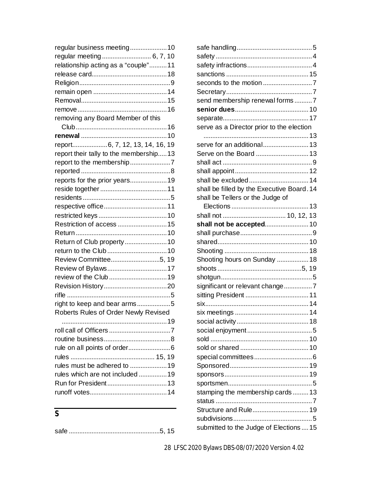| regular business meeting10             |  |
|----------------------------------------|--|
| regular meeting 6, 7, 10               |  |
| relationship acting as a "couple"11    |  |
|                                        |  |
|                                        |  |
|                                        |  |
|                                        |  |
|                                        |  |
| removing any Board Member of this      |  |
|                                        |  |
|                                        |  |
| report6, 7, 12, 13, 14, 16, 19         |  |
| report their tally to the membership13 |  |
|                                        |  |
|                                        |  |
| reports for the prior years 19         |  |
|                                        |  |
|                                        |  |
|                                        |  |
|                                        |  |
| Restriction of access  15              |  |
|                                        |  |
| Return of Club property  10            |  |
|                                        |  |
| Review Committee5, 19                  |  |
| Review of Bylaws17                     |  |
|                                        |  |
|                                        |  |
|                                        |  |
| right to keep and bear arms5           |  |
| Roberts Rules of Order Newly Revised   |  |
|                                        |  |
|                                        |  |
|                                        |  |
|                                        |  |
|                                        |  |
| rules must be adhered to 19            |  |
| rules which are not included 19        |  |
|                                        |  |
|                                        |  |
|                                        |  |

| ×                            |
|------------------------------|
| i<br>ł<br>I<br>۰.<br>×<br>۰. |
|                              |

safe ....................................................5, 15

| send membership renewal forms7             |  |
|--------------------------------------------|--|
|                                            |  |
|                                            |  |
| serve as a Director prior to the election  |  |
|                                            |  |
| serve for an additional 13                 |  |
| Serve on the Board  13                     |  |
|                                            |  |
|                                            |  |
| shall be excluded 14                       |  |
| shall be filled by the Executive Board. 14 |  |
| shall be Tellers or the Judge of           |  |
|                                            |  |
|                                            |  |
| shall not be accepted 10                   |  |
|                                            |  |
|                                            |  |
|                                            |  |
| Shooting hours on Sunday  18               |  |
|                                            |  |
|                                            |  |
| significant or relevant change7            |  |
|                                            |  |
|                                            |  |
|                                            |  |
|                                            |  |
|                                            |  |
|                                            |  |
|                                            |  |
|                                            |  |
|                                            |  |
|                                            |  |
|                                            |  |
| stamping the membership cards 13           |  |
|                                            |  |
| Structure and Rule 19                      |  |
|                                            |  |
| submitted to the Judge of Elections  15    |  |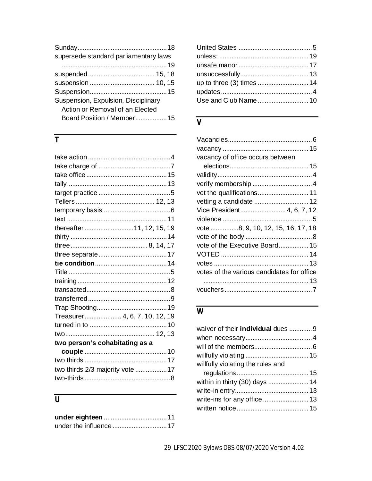| supersede standard parliamentary laws |  |
|---------------------------------------|--|
|                                       |  |
|                                       |  |
|                                       |  |
|                                       |  |
| Suspension, Expulsion, Disciplinary   |  |
| Action or Removal of an Elected       |  |
| Board Position / Member15             |  |
|                                       |  |

## $\overline{T}$

| thereafter11, 12, 15, 19        |  |
|---------------------------------|--|
|                                 |  |
|                                 |  |
|                                 |  |
|                                 |  |
|                                 |  |
|                                 |  |
|                                 |  |
|                                 |  |
|                                 |  |
| Treasurer 4, 6, 7, 10, 12, 19   |  |
|                                 |  |
|                                 |  |
| two person's cohabitating as a  |  |
|                                 |  |
|                                 |  |
| two thirds 2/3 majority vote 17 |  |
|                                 |  |
|                                 |  |

## $\overline{U}$

| up to three (3) times  14 |  |
|---------------------------|--|
|                           |  |
| Use and Club Name 10      |  |
|                           |  |

### $\overline{V}$

| vacancy of office occurs between           |  |
|--------------------------------------------|--|
|                                            |  |
|                                            |  |
|                                            |  |
|                                            |  |
| vetting a candidate  12                    |  |
| Vice President 4, 6, 7, 12                 |  |
|                                            |  |
| vote 8, 9, 10, 12, 15, 16, 17, 18          |  |
|                                            |  |
| vote of the Executive Board 15             |  |
|                                            |  |
|                                            |  |
| votes of the various candidates for office |  |
|                                            |  |
|                                            |  |
|                                            |  |

### $\overline{W}$

| waiver of their individual dues  9 |  |
|------------------------------------|--|
|                                    |  |
|                                    |  |
|                                    |  |
| willfully violating the rules and  |  |
|                                    |  |
|                                    |  |
|                                    |  |
|                                    |  |
|                                    |  |
|                                    |  |